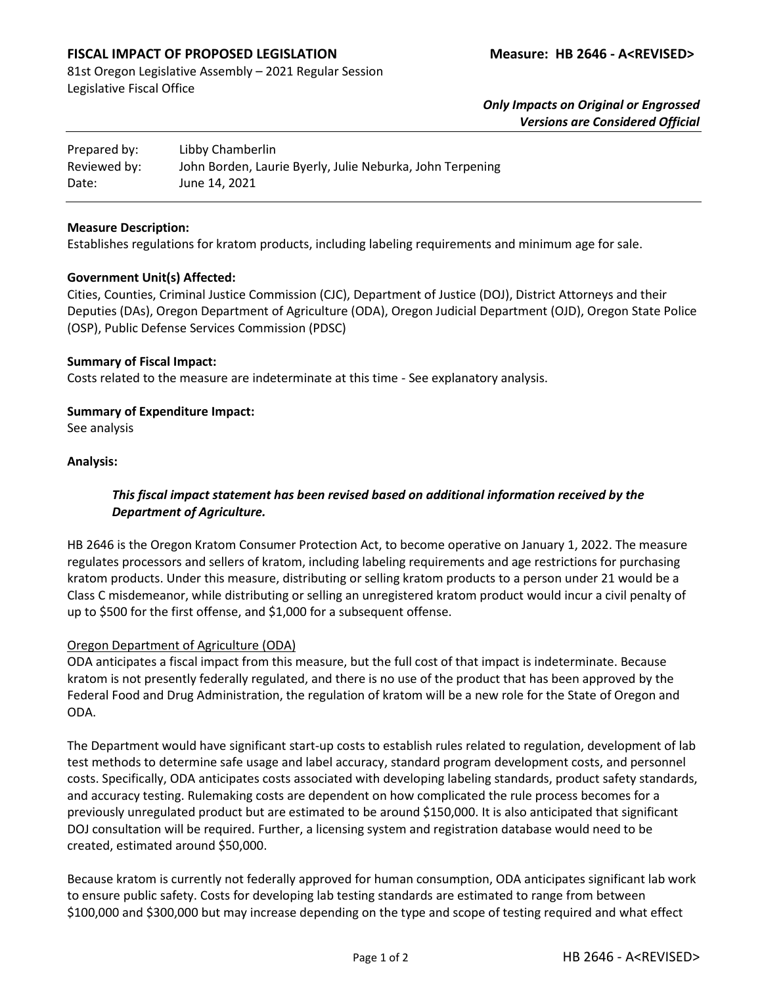# **FISCAL IMPACT OF PROPOSED LEGISLATION Measure: HB 2646 - A<REVISED>**

81st Oregon Legislative Assembly – 2021 Regular Session Legislative Fiscal Office

> *Only Impacts on Original or Engrossed Versions are Considered Official*

| Prepared by: | Libby Chamberlin                                          |
|--------------|-----------------------------------------------------------|
| Reviewed by: | John Borden, Laurie Byerly, Julie Neburka, John Terpening |
| Date:        | June 14, 2021                                             |

#### **Measure Description:**

Establishes regulations for kratom products, including labeling requirements and minimum age for sale.

#### **Government Unit(s) Affected:**

Cities, Counties, Criminal Justice Commission (CJC), Department of Justice (DOJ), District Attorneys and their Deputies (DAs), Oregon Department of Agriculture (ODA), Oregon Judicial Department (OJD), Oregon State Police (OSP), Public Defense Services Commission (PDSC)

### **Summary of Fiscal Impact:**

Costs related to the measure are indeterminate at this time - See explanatory analysis.

### **Summary of Expenditure Impact:**

See analysis

### **Analysis:**

# *This fiscal impact statement has been revised based on additional information received by the Department of Agriculture.*

HB 2646 is the Oregon Kratom Consumer Protection Act, to become operative on January 1, 2022. The measure regulates processors and sellers of kratom, including labeling requirements and age restrictions for purchasing kratom products. Under this measure, distributing or selling kratom products to a person under 21 would be a Class C misdemeanor, while distributing or selling an unregistered kratom product would incur a civil penalty of up to \$500 for the first offense, and \$1,000 for a subsequent offense.

#### Oregon Department of Agriculture (ODA)

ODA anticipates a fiscal impact from this measure, but the full cost of that impact is indeterminate. Because kratom is not presently federally regulated, and there is no use of the product that has been approved by the Federal Food and Drug Administration, the regulation of kratom will be a new role for the State of Oregon and ODA.

The Department would have significant start-up costs to establish rules related to regulation, development of lab test methods to determine safe usage and label accuracy, standard program development costs, and personnel costs. Specifically, ODA anticipates costs associated with developing labeling standards, product safety standards, and accuracy testing. Rulemaking costs are dependent on how complicated the rule process becomes for a previously unregulated product but are estimated to be around \$150,000. It is also anticipated that significant DOJ consultation will be required. Further, a licensing system and registration database would need to be created, estimated around \$50,000.

Because kratom is currently not federally approved for human consumption, ODA anticipates significant lab work to ensure public safety. Costs for developing lab testing standards are estimated to range from between \$100,000 and \$300,000 but may increase depending on the type and scope of testing required and what effect